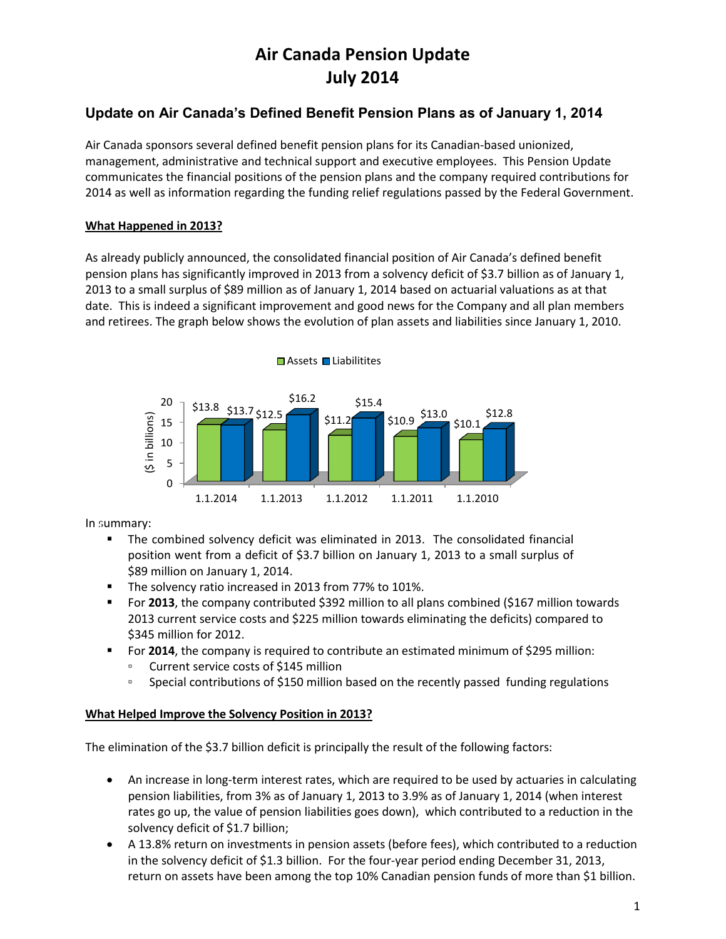# **Air Canada Pension Update July 2014**

## **Update on Air Canada's Defined Benefit Pension Plans as of January 1, 2014**

Air Canada sponsors several defined benefit pension plans for its Canadian-based unionized, management, administrative and technical support and executive employees. This Pension Update communicates the financial positions of the pension plans and the company required contributions for 2014 as well as information regarding the funding relief regulations passed by the Federal Government.

#### **What Happened in 2013?**

As already publicly announced, the consolidated financial position of Air Canada's defined benefit pension plans has significantly improved in 2013 from a solvency deficit of \$3.7 billion as of January 1, 2013 to a small surplus of \$89 million as of January 1, 2014 based on actuarial valuations as at that date. This is indeed a significant improvement and good news for the Company and all plan members and retirees. The graph below shows the evolution of plan assets and liabilities since January 1, 2010.



In summary:

- The combined solvency deficit was eliminated in 2013. The consolidated financial position went from a deficit of \$3.7 billion on January 1, 2013 to a small surplus of \$89 million on January 1, 2014.
- The solvency ratio increased in 2013 from 77% to 101%.
- For **2013**, the company contributed \$392 million to all plans combined (\$167 million towards 2013 current service costs and \$225 million towards eliminating the deficits) compared to \$345 million for 2012.
- **For 2014**, the company is required to contribute an estimated minimum of \$295 million:
	- Current service costs of \$145 million
	- □ Special contributions of \$150 million based on the recently passed funding regulations

#### **What Helped Improve the Solvency Position in 2013?**

The elimination of the \$3.7 billion deficit is principally the result of the following factors:

- An increase in long-term interest rates, which are required to be used by actuaries in calculating pension liabilities, from 3% as of January 1, 2013 to 3.9% as of January 1, 2014 (when interest rates go up, the value of pension liabilities goes down), which contributed to a reduction in the solvency deficit of \$1.7 billion;
- A 13.8% return on investments in pension assets (before fees), which contributed to a reduction in the solvency deficit of \$1.3 billion. For the four-year period ending December 31, 2013, return on assets have been among the top 10% Canadian pension funds of more than \$1 billion.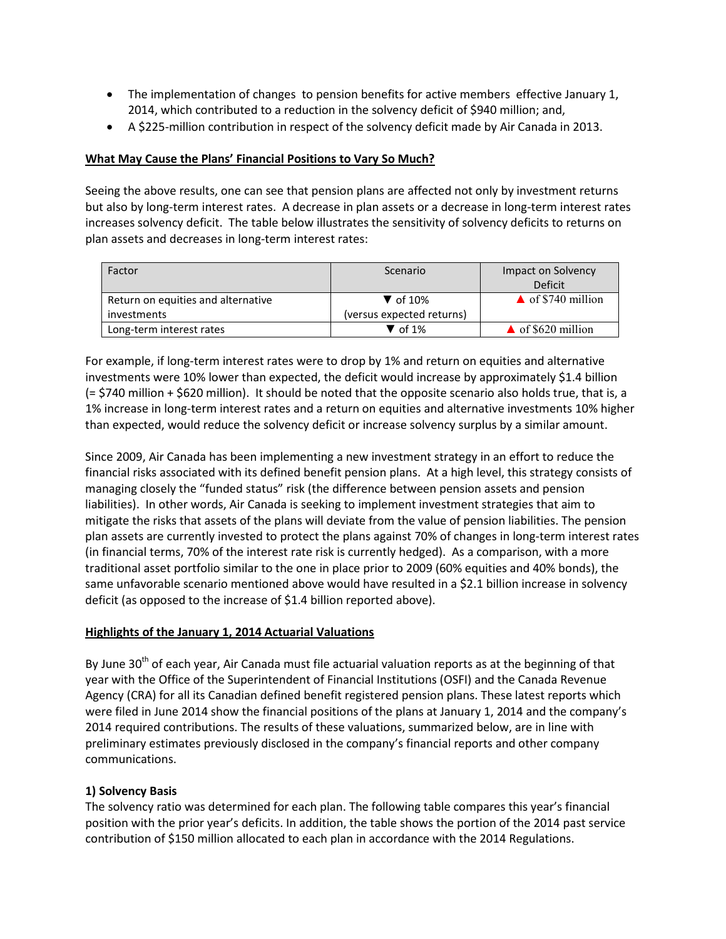- The implementation of changes to pension benefits for active members effective January 1, 2014, which contributed to a reduction in the solvency deficit of \$940 million; and,
- A \$225-million contribution in respect of the solvency deficit made by Air Canada in 2013.

#### **What May Cause the Plans' Financial Positions to Vary So Much?**

Seeing the above results, one can see that pension plans are affected not only by investment returns but also by long-term interest rates. A decrease in plan assets or a decrease in long-term interest rates increases solvency deficit. The table below illustrates the sensitivity of solvency deficits to returns on plan assets and decreases in long-term interest rates:

| Factor                             | Scenario                    | Impact on Solvency           |
|------------------------------------|-----------------------------|------------------------------|
|                                    |                             | <b>Deficit</b>               |
| Return on equities and alternative | $\blacktriangledown$ of 10% | $\triangle$ of \$740 million |
| investments                        | (versus expected returns)   |                              |
| Long-term interest rates           | $\blacktriangledown$ of 1%  | $\triangle$ of \$620 million |

For example, if long-term interest rates were to drop by 1% and return on equities and alternative investments were 10% lower than expected, the deficit would increase by approximately \$1.4 billion (= \$740 million + \$620 million). It should be noted that the opposite scenario also holds true, that is, a 1% increase in long-term interest rates and a return on equities and alternative investments 10% higher than expected, would reduce the solvency deficit or increase solvency surplus by a similar amount.

Since 2009, Air Canada has been implementing a new investment strategy in an effort to reduce the financial risks associated with its defined benefit pension plans. At a high level, this strategy consists of managing closely the "funded status" risk (the difference between pension assets and pension liabilities). In other words, Air Canada is seeking to implement investment strategies that aim to mitigate the risks that assets of the plans will deviate from the value of pension liabilities. The pension plan assets are currently invested to protect the plans against 70% of changes in long-term interest rates (in financial terms, 70% of the interest rate risk is currently hedged). As a comparison, with a more traditional asset portfolio similar to the one in place prior to 2009 (60% equities and 40% bonds), the same unfavorable scenario mentioned above would have resulted in a \$2.1 billion increase in solvency deficit (as opposed to the increase of \$1.4 billion reported above).

#### **Highlights of the January 1, 2014 Actuarial Valuations**

By June  $30<sup>th</sup>$  of each year, Air Canada must file actuarial valuation reports as at the beginning of that year with the Office of the Superintendent of Financial Institutions (OSFI) and the Canada Revenue Agency (CRA) for all its Canadian defined benefit registered pension plans. These latest reports which were filed in June 2014 show the financial positions of the plans at January 1, 2014 and the company's 2014 required contributions. The results of these valuations, summarized below, are in line with preliminary estimates previously disclosed in the company's financial reports and other company communications.

#### **1) Solvency Basis**

The solvency ratio was determined for each plan. The following table compares this year's financial position with the prior year's deficits. In addition, the table shows the portion of the 2014 past service contribution of \$150 million allocated to each plan in accordance with the 2014 Regulations.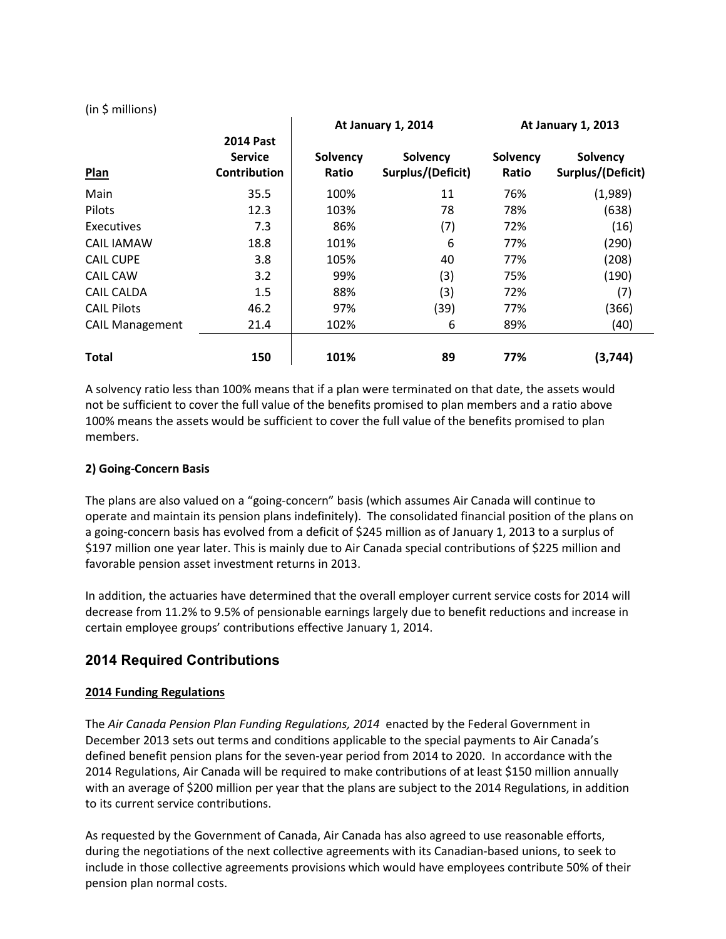|                        |                                                           |                   | <b>At January 1, 2014</b>     |                          | <b>At January 1, 2013</b>     |  |
|------------------------|-----------------------------------------------------------|-------------------|-------------------------------|--------------------------|-------------------------------|--|
| Plan                   | <b>2014 Past</b><br><b>Service</b><br><b>Contribution</b> | Solvency<br>Ratio | Solvency<br>Surplus/(Deficit) | <b>Solvency</b><br>Ratio | Solvency<br>Surplus/(Deficit) |  |
| Main                   | 35.5                                                      | 100%              | 11                            | 76%                      | (1,989)                       |  |
| Pilots                 | 12.3                                                      | 103%              | 78                            | 78%                      | (638)                         |  |
| Executives             | 7.3                                                       | 86%               | (7)                           | 72%                      | (16)                          |  |
| CAIL IAMAW             | 18.8                                                      | 101%              | 6                             | 77%                      | (290)                         |  |
| <b>CAIL CUPE</b>       | 3.8                                                       | 105%              | 40                            | 77%                      | (208)                         |  |
| <b>CAIL CAW</b>        | 3.2                                                       | 99%               | (3)                           | 75%                      | (190)                         |  |
| <b>CAIL CALDA</b>      | 1.5                                                       | 88%               | (3)                           | 72%                      | (7)                           |  |
| <b>CAIL Pilots</b>     | 46.2                                                      | 97%               | (39)                          | 77%                      | (366)                         |  |
| <b>CAIL Management</b> | 21.4                                                      | 102%              | 6                             | 89%                      | (40)                          |  |
| <b>Total</b>           | 150                                                       | 101%              | 89                            | 77%                      | (3,744)                       |  |

(in \$ millions)

A solvency ratio less than 100% means that if a plan were terminated on that date, the assets would not be sufficient to cover the full value of the benefits promised to plan members and a ratio above 100% means the assets would be sufficient to cover the full value of the benefits promised to plan members.

#### **2) Going-Concern Basis**

The plans are also valued on a "going-concern" basis (which assumes Air Canada will continue to operate and maintain its pension plans indefinitely). The consolidated financial position of the plans on a going-concern basis has evolved from a deficit of \$245 million as of January 1, 2013 to a surplus of \$197 million one year later. This is mainly due to Air Canada special contributions of \$225 million and favorable pension asset investment returns in 2013.

In addition, the actuaries have determined that the overall employer current service costs for 2014 will decrease from 11.2% to 9.5% of pensionable earnings largely due to benefit reductions and increase in certain employee groups' contributions effective January 1, 2014.

### **2014 Required Contributions**

#### **2014 Funding Regulations**

The *Air Canada Pension Plan Funding Regulations, 2014* enacted by the Federal Government in December 2013 sets out terms and conditions applicable to the special payments to Air Canada's defined benefit pension plans for the seven-year period from 2014 to 2020. In accordance with the 2014 Regulations, Air Canada will be required to make contributions of at least \$150 million annually with an average of \$200 million per year that the plans are subject to the 2014 Regulations, in addition to its current service contributions.

As requested by the Government of Canada, Air Canada has also agreed to use reasonable efforts, during the negotiations of the next collective agreements with its Canadian-based unions, to seek to include in those collective agreements provisions which would have employees contribute 50% of their pension plan normal costs.